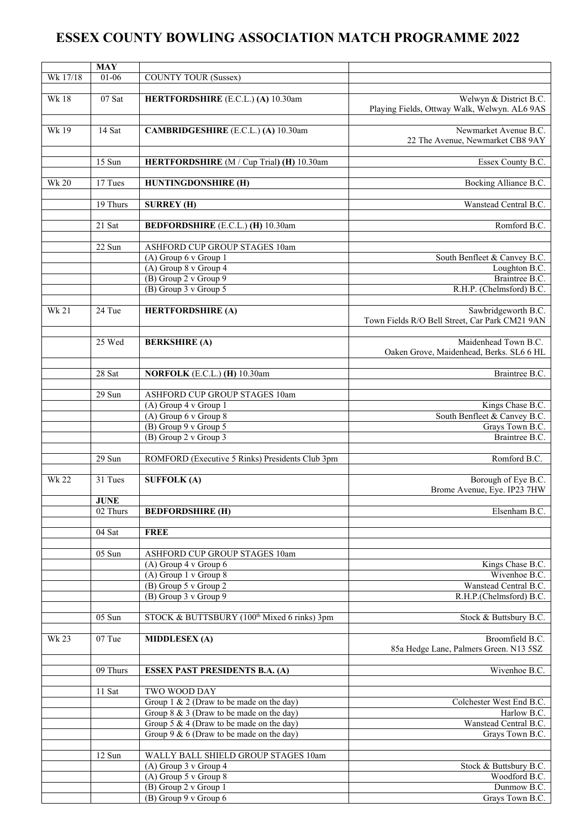## **ESSEX COUNTY BOWLING ASSOCIATION MATCH PROGRAMME 2022**

|              | <b>MAY</b>            |                                                             |                                                                       |
|--------------|-----------------------|-------------------------------------------------------------|-----------------------------------------------------------------------|
| Wk 17/18     | $01 - 06$             | <b>COUNTY TOUR (Sussex)</b>                                 |                                                                       |
| <b>Wk18</b>  | $07$ Sat              | HERTFORDSHIRE (E.C.L.) (A) 10.30am                          | Welwyn & District B.C.                                                |
|              |                       |                                                             | Playing Fields, Ottway Walk, Welwyn. AL6 9AS                          |
|              |                       |                                                             |                                                                       |
| Wk19         | $14$ Sat              | <b>CAMBRIDGESHIRE</b> (E.C.L.) (A) 10.30am                  | Newmarket Avenue B.C.<br>22 The Avenue, Newmarket CB8 9AY             |
|              |                       |                                                             |                                                                       |
|              | 15 Sun                | HERTFORDSHIRE (M / Cup Trial) (H) 10.30am                   | Essex County B.C.                                                     |
|              |                       |                                                             |                                                                       |
| Wk 20        | 17 Tues               | <b>HUNTINGDONSHIRE (H)</b>                                  | Bocking Alliance B.C.                                                 |
|              | 19 Thurs              | <b>SURREY (H)</b>                                           | Wanstead Central B.C.                                                 |
|              |                       |                                                             |                                                                       |
|              | 21 Sat                | <b>BEDFORDSHIRE</b> (E.C.L.) (H) 10.30am                    | Romford B.C.                                                          |
|              | 22 Sun                | <b>ASHFORD CUP GROUP STAGES 10am</b>                        |                                                                       |
|              |                       | $(A)$ Group 6 v Group 1                                     | South Benfleet & Canvey B.C.                                          |
|              |                       | (A) Group 8 v Group 4                                       | Loughton B.C.                                                         |
|              |                       | (B) Group 2 v Group 9                                       | Braintree B.C.                                                        |
|              |                       | (B) Group 3 v Group 5                                       | R.H.P. (Chelmsford) B.C.                                              |
|              |                       |                                                             |                                                                       |
| <b>Wk 21</b> | 24 Tue                | <b>HERTFORDSHIRE (A)</b>                                    | Sawbridgeworth B.C.<br>Town Fields R/O Bell Street, Car Park CM21 9AN |
|              |                       |                                                             |                                                                       |
|              | 25 Wed                | <b>BERKSHIRE (A)</b>                                        | Maidenhead Town B.C.                                                  |
|              |                       |                                                             | Oaken Grove, Maidenhead, Berks. SL6 6 HL                              |
|              | $28$ Sat              | NORFOLK (E.C.L.) (H) 10.30am                                | Braintree B.C.                                                        |
|              |                       |                                                             |                                                                       |
|              | 29 Sun                | ASHFORD CUP GROUP STAGES 10am                               |                                                                       |
|              |                       | (A) Group 4 v Group 1                                       | Kings Chase B.C.                                                      |
|              |                       | $(A)$ Group 6 v Group 8                                     | South Benfleet & Canvey B.C.                                          |
|              |                       | (B) Group 9 v Group 5                                       | Grays Town B.C.                                                       |
|              |                       | (B) Group 2 v Group 3                                       | Braintree B.C.                                                        |
|              | $29$ Sun              | ROMFORD (Executive 5 Rinks) Presidents Club 3pm             | Romford B.C.                                                          |
|              |                       |                                                             |                                                                       |
| <b>Wk 22</b> | 31 Tues               | <b>SUFFOLK (A)</b>                                          | Borough of Eye B.C.<br>Brome Avenue, Eye. IP23 7HW                    |
|              | <b>JUNE</b>           |                                                             |                                                                       |
|              | $\overline{02}$ Thurs | <b>BEDFORDSHIRE (H)</b>                                     | Elsenham B.C.                                                         |
|              |                       |                                                             |                                                                       |
|              | 04 Sat                | <b>FREE</b>                                                 |                                                                       |
|              | 05 Sun                | ASHFORD CUP GROUP STAGES 10am                               |                                                                       |
|              |                       | (A) Group 4 v Group 6                                       | Kings Chase B.C.                                                      |
|              |                       | $(A)$ Group 1 v Group 8                                     | Wivenhoe B.C.                                                         |
|              |                       | (B) Group 5 v Group 2                                       | Wanstead Central B.C.                                                 |
|              |                       | (B) Group 3 v Group 9                                       | R.H.P.(Chelmsford) B.C.                                               |
|              |                       |                                                             |                                                                       |
|              | 05 Sun                | STOCK & BUTTSBURY (100 <sup>th</sup> Mixed 6 rinks) 3pm     | Stock & Buttsbury B.C.                                                |
| <b>Wk 23</b> | 07 Tue                | <b>MIDDLESEX (A)</b>                                        | Broomfield B.C.                                                       |
|              |                       |                                                             | 85a Hedge Lane, Palmers Green. N13 5SZ                                |
|              |                       |                                                             |                                                                       |
|              | 09 Thurs              | <b>ESSEX PAST PRESIDENTS B.A. (A)</b>                       | Wivenhoe B.C.                                                         |
|              |                       |                                                             |                                                                       |
|              | 11 Sat                | TWO WOOD DAY<br>Group $1 \& 2$ (Draw to be made on the day) | Colchester West End B.C.                                              |
|              |                       | Group $8 \& 3$ (Draw to be made on the day)                 | Harlow B.C.                                                           |
|              |                       | Group 5 & 4 (Draw to be made on the day)                    | Wanstead Central B.C.                                                 |
|              |                       | Group $9 & 6$ (Draw to be made on the day)                  | Grays Town B.C.                                                       |
|              |                       |                                                             |                                                                       |
|              | 12 Sun                | WALLY BALL SHIELD GROUP STAGES 10am                         |                                                                       |
|              |                       | (A) Group 3 v Group 4                                       | Stock & Buttsbury B.C.                                                |
|              |                       | (A) Group 5 v Group 8                                       | Woodford B.C.                                                         |
|              |                       | (B) Group 2 v Group 1                                       | Dunmow B.C.                                                           |
|              |                       | (B) Group 9 v Group 6                                       | Grays Town B.C.                                                       |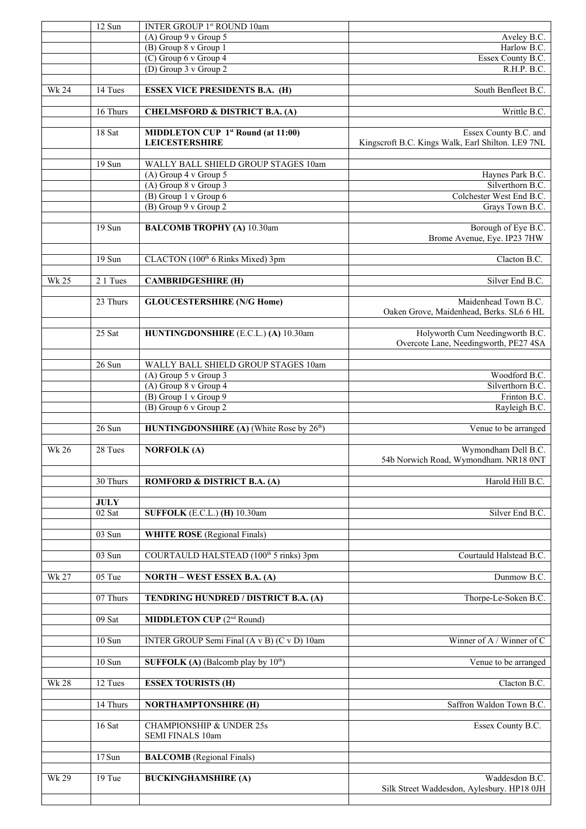|              | 12 Sun      | INTER GROUP 1st ROUND 10am                                         |                                                                            |
|--------------|-------------|--------------------------------------------------------------------|----------------------------------------------------------------------------|
|              |             | $(A)$ Group 9 v Group 5                                            | Aveley B.C.                                                                |
|              |             | (B) Group 8 v Group 1<br>$(C)$ Group 6 v Group 4                   | Harlow B.C.                                                                |
|              |             | (D) Group 3 v Group 2                                              | Essex County B.C.<br>R.H.P. B.C.                                           |
|              |             |                                                                    |                                                                            |
| <b>Wk 24</b> | 14 Tues     | <b>ESSEX VICE PRESIDENTS B.A. (H)</b>                              | South Benfleet B.C.                                                        |
|              | 16 Thurs    | <b>CHELMSFORD &amp; DISTRICT B.A. (A)</b>                          | Writtle B.C.                                                               |
|              |             |                                                                    |                                                                            |
|              | 18 Sat      | <b>MIDDLETON CUP 1st Round (at 11:00)</b><br><b>LEICESTERSHIRE</b> | Essex County B.C. and<br>Kingscroft B.C. Kings Walk, Earl Shilton. LE9 7NL |
|              |             |                                                                    |                                                                            |
|              | 19 Sun      | WALLY BALL SHIELD GROUP STAGES 10am<br>(A) Group 4 v Group 5       | Haynes Park B.C.                                                           |
|              |             | (A) Group 8 v Group 3                                              | Silverthorn B.C.                                                           |
|              |             | (B) Group 1 v Group 6                                              | Colchester West End B.C.                                                   |
|              |             | (B) Group 9 v Group 2                                              | Grays Town B.C.                                                            |
|              |             |                                                                    |                                                                            |
|              | 19 Sun      | <b>BALCOMB TROPHY (A) 10.30am</b>                                  | Borough of Eye B.C.<br>Brome Avenue, Eye. IP23 7HW                         |
|              | 19 Sun      | CLACTON (100 <sup>th</sup> 6 Rinks Mixed) 3pm                      | Clacton B.C.                                                               |
|              |             |                                                                    |                                                                            |
| <b>Wk 25</b> | 2 1 Tues    | <b>CAMBRIDGESHIRE (H)</b>                                          | Silver End B.C.                                                            |
|              | 23 Thurs    | <b>GLOUCESTERSHIRE (N/G Home)</b>                                  | Maidenhead Town B.C.<br>Oaken Grove, Maidenhead, Berks. SL6 6 HL           |
|              | 25 Sat      | HUNTINGDONSHIRE (E.C.L.) (A) 10.30am                               | Holyworth Cum Needingworth B.C.                                            |
|              |             |                                                                    | Overcote Lane, Needingworth, PE27 4SA                                      |
|              | 26 Sun      | WALLY BALL SHIELD GROUP STAGES 10am                                |                                                                            |
|              |             | (A) Group 5 v Group 3                                              | Woodford B.C.                                                              |
|              |             | (A) Group 8 v Group 4                                              | Silverthorn B.C.                                                           |
|              |             | (B) Group 1 v Group 9                                              | Frinton B.C.                                                               |
|              |             | (B) Group 6 v Group 2                                              | Rayleigh B.C.                                                              |
|              | 26 Sun      | <b>HUNTINGDONSHIRE</b> (A) (White Rose by $26th$ )                 | Venue to be arranged                                                       |
|              |             |                                                                    |                                                                            |
| <b>Wk 26</b> | 28 Tues     | <b>NORFOLK (A)</b>                                                 | Wymondham Dell B.C.<br>54b Norwich Road, Wymondham. NR18 0NT               |
|              | 30 Thurs    | <b>ROMFORD &amp; DISTRICT B.A. (A)</b>                             | Harold Hill B.C.                                                           |
|              | <b>JULY</b> |                                                                    |                                                                            |
|              | 02 Sat      | <b>SUFFOLK</b> (E.C.L.) (H) 10.30am                                | Silver End B.C.                                                            |
|              |             |                                                                    |                                                                            |
|              | $03$ Sun    | <b>WHITE ROSE</b> (Regional Finals)                                |                                                                            |
|              | 03 Sun      | COURTAULD HALSTEAD (100 <sup>th</sup> 5 rinks) 3pm                 | Courtauld Halstead B.C.                                                    |
|              |             |                                                                    |                                                                            |
| Wk 27        | 05 Tue      | <b>NORTH - WEST ESSEX B.A. (A)</b>                                 | Dunmow B.C.                                                                |
|              | 07 Thurs    | TENDRING HUNDRED / DISTRICT B.A. (A)                               | Thorpe-Le-Soken B.C.                                                       |
|              | 09 Sat      | <b>MIDDLETON CUP</b> (2 <sup>nd</sup> Round)                       |                                                                            |
|              |             |                                                                    |                                                                            |
|              | $10$ Sun    | INTER GROUP Semi Final (A v B) (C v D) 10am                        | Winner of A / Winner of C                                                  |
|              | 10 Sun      | <b>SUFFOLK</b> (A) (Balcomb play by $10^{th}$ )                    | Venue to be arranged                                                       |
| <b>Wk 28</b> | 12 Tues     | <b>ESSEX TOURISTS (H)</b>                                          | Clacton B.C.                                                               |
|              |             |                                                                    |                                                                            |
|              | 14 Thurs    | <b>NORTHAMPTONSHIRE (H)</b>                                        | Saffron Waldon Town B.C.                                                   |
|              | 16 Sat      | <b>CHAMPIONSHIP &amp; UNDER 25s</b><br>SEMI FINALS 10am            | Essex County B.C.                                                          |
|              | 17 Sun      | <b>BALCOMB</b> (Regional Finals)                                   |                                                                            |
|              |             |                                                                    |                                                                            |
| <b>Wk 29</b> | 19 Tue      | <b>BUCKINGHAMSHIRE (A)</b>                                         | Waddesdon B.C.<br>Silk Street Waddesdon, Aylesbury. HP18 0JH               |
|              |             |                                                                    |                                                                            |